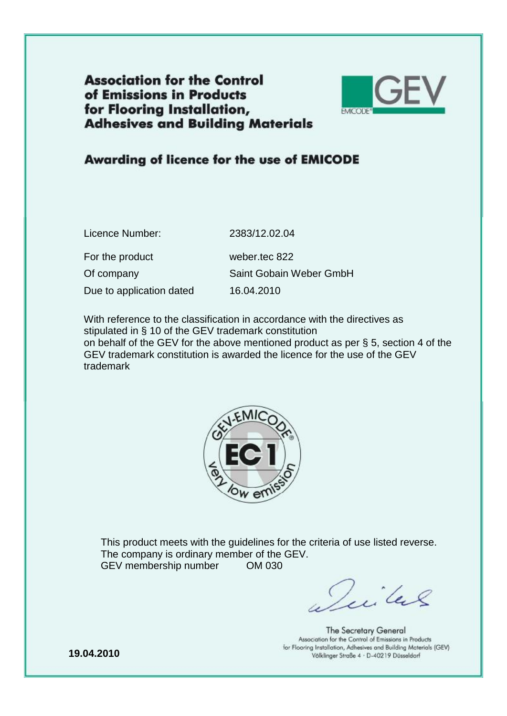**Association for the Control** of Emissions in Products for Flooring Installation, **Adhesives and Building Materials** 



## Awarding of licence for the use of EMICODE

| Licence Number:          | 2383/12.02.04           |
|--------------------------|-------------------------|
| For the product          | weber.tec 822           |
| Of company               | Saint Gobain Weber GmbH |
| Due to application dated | 16.04.2010              |
|                          |                         |

With reference to the classification in accordance with the directives as stipulated in § 10 of the GEV trademark constitution on behalf of the GEV for the above mentioned product as per § 5, section 4 of the GEV trademark constitution is awarded the licence for the use of the GEV trademark



This product meets with the guidelines for the criteria of use listed reverse. The company is ordinary member of the GEV. GEV membership number OM 030

Villes

The Secretary General Association for the Control of Emissions in Products for Flooring Installation, Adhesives and Building Materials (GEV) Völklinger Straße 4 · D-40219 Düsseldorf

**19.04.2010**